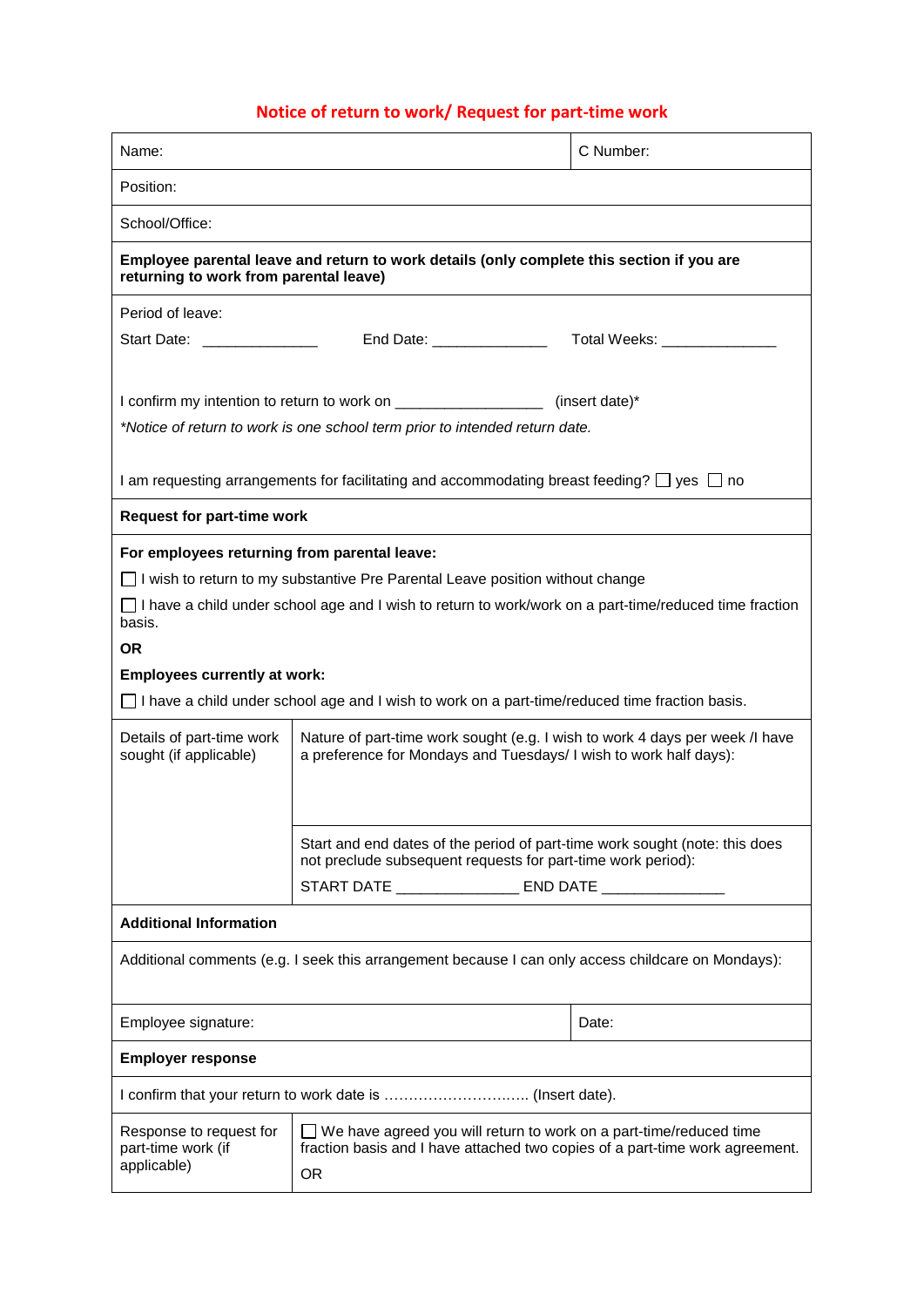# **Notice of return to work/ Request for part-time work**

| Name:                                                                                                                               |                                                                                                                                                                 | C Number: |  |  |
|-------------------------------------------------------------------------------------------------------------------------------------|-----------------------------------------------------------------------------------------------------------------------------------------------------------------|-----------|--|--|
| Position:                                                                                                                           |                                                                                                                                                                 |           |  |  |
| School/Office:                                                                                                                      |                                                                                                                                                                 |           |  |  |
| Employee parental leave and return to work details (only complete this section if you are<br>returning to work from parental leave) |                                                                                                                                                                 |           |  |  |
| Period of leave:                                                                                                                    |                                                                                                                                                                 |           |  |  |
| Start Date: ________________                                                                                                        |                                                                                                                                                                 |           |  |  |
| I confirm my intention to return to work on _____________________(insert date)*                                                     |                                                                                                                                                                 |           |  |  |
| *Notice of return to work is one school term prior to intended return date.                                                         |                                                                                                                                                                 |           |  |  |
| I am requesting arrangements for facilitating and accommodating breast feeding? $\Box$ yes $\Box$ no                                |                                                                                                                                                                 |           |  |  |
| <b>Request for part-time work</b>                                                                                                   |                                                                                                                                                                 |           |  |  |
| For employees returning from parental leave:                                                                                        |                                                                                                                                                                 |           |  |  |
| □ I wish to return to my substantive Pre Parental Leave position without change                                                     |                                                                                                                                                                 |           |  |  |
| $\Box$ I have a child under school age and I wish to return to work/work on a part-time/reduced time fraction<br>basis.             |                                                                                                                                                                 |           |  |  |
| <b>OR</b>                                                                                                                           |                                                                                                                                                                 |           |  |  |
| <b>Employees currently at work:</b>                                                                                                 |                                                                                                                                                                 |           |  |  |
| $\Box$ I have a child under school age and I wish to work on a part-time/reduced time fraction basis.                               |                                                                                                                                                                 |           |  |  |
| Details of part-time work<br>sought (if applicable)                                                                                 | Nature of part-time work sought (e.g. I wish to work 4 days per week /I have<br>a preference for Mondays and Tuesdays/ I wish to work half days):               |           |  |  |
|                                                                                                                                     |                                                                                                                                                                 |           |  |  |
|                                                                                                                                     | Start and end dates of the period of part-time work sought (note: this does<br>not preclude subsequent requests for part-time work period):                     |           |  |  |
|                                                                                                                                     | START DATE ___________________ END DATE ________________                                                                                                        |           |  |  |
| <b>Additional Information</b>                                                                                                       |                                                                                                                                                                 |           |  |  |
| Additional comments (e.g. I seek this arrangement because I can only access childcare on Mondays):                                  |                                                                                                                                                                 |           |  |  |
| Employee signature:                                                                                                                 |                                                                                                                                                                 | Date:     |  |  |
| <b>Employer response</b>                                                                                                            |                                                                                                                                                                 |           |  |  |
|                                                                                                                                     |                                                                                                                                                                 |           |  |  |
| Response to request for<br>part-time work (if<br>applicable)                                                                        | $\Box$ We have agreed you will return to work on a part-time/reduced time<br>fraction basis and I have attached two copies of a part-time work agreement.<br>0R |           |  |  |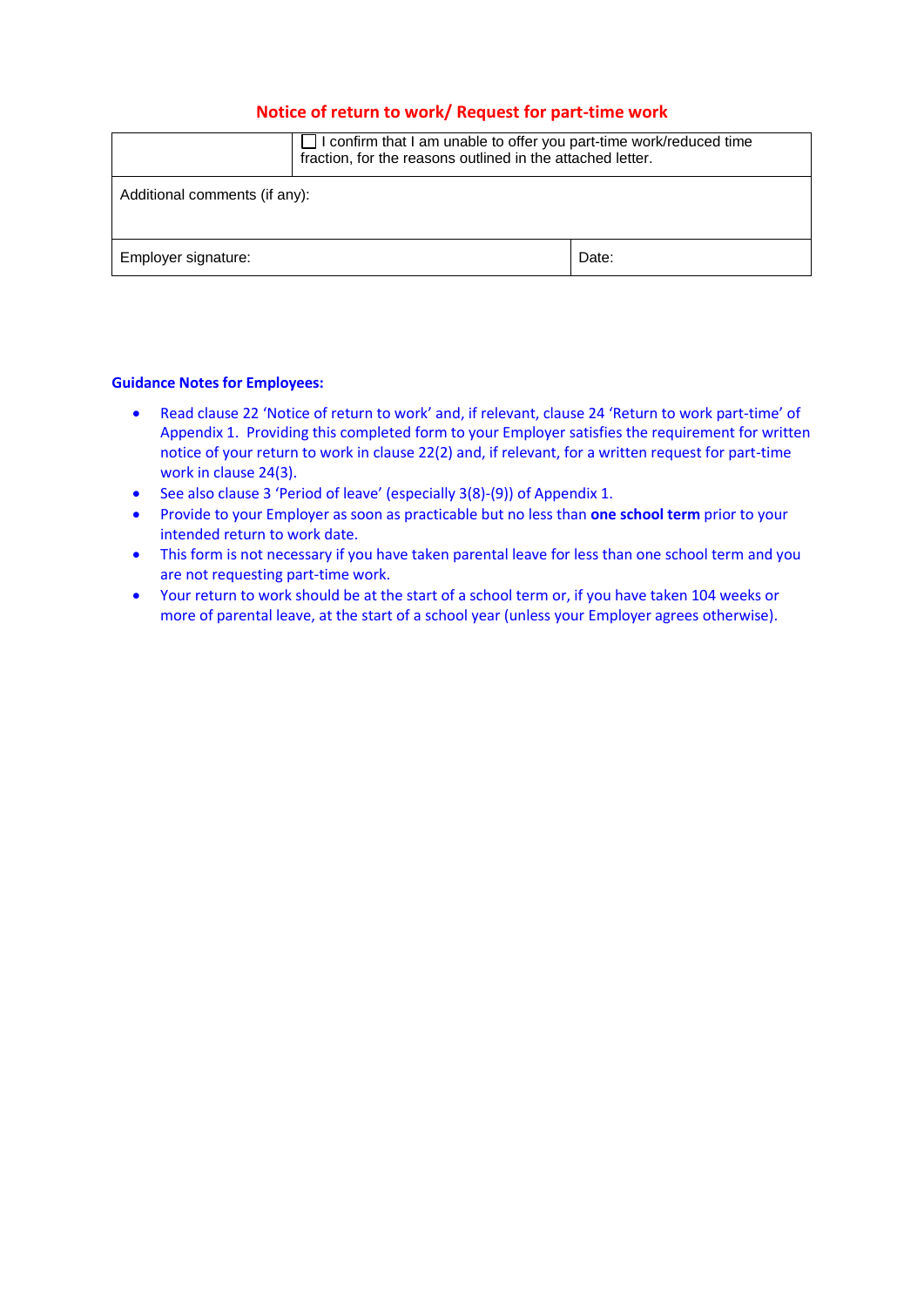## **Notice of return to work/ Request for part-time work**

|                               | I confirm that I am unable to offer you part-time work/reduced time<br>fraction, for the reasons outlined in the attached letter. |       |  |  |
|-------------------------------|-----------------------------------------------------------------------------------------------------------------------------------|-------|--|--|
| Additional comments (if any): |                                                                                                                                   |       |  |  |
| Employer signature:           |                                                                                                                                   | Date: |  |  |

#### **Guidance Notes for Employees:**

- Read clause 22 'Notice of return to work' and, if relevant, clause 24 'Return to work part-time' of Appendix 1. Providing this completed form to your Employer satisfies the requirement for written notice of your return to work in clause 22(2) and, if relevant, for a written request for part-time work in clause 24(3).
- See also clause 3 'Period of leave' (especially 3(8)-(9)) of Appendix 1.
- Provide to your Employer as soon as practicable but no less than **one school term** prior to your intended return to work date.
- This form is not necessary if you have taken parental leave for less than one school term and you are not requesting part-time work.
- Your return to work should be at the start of a school term or, if you have taken 104 weeks or more of parental leave, at the start of a school year (unless your Employer agrees otherwise).